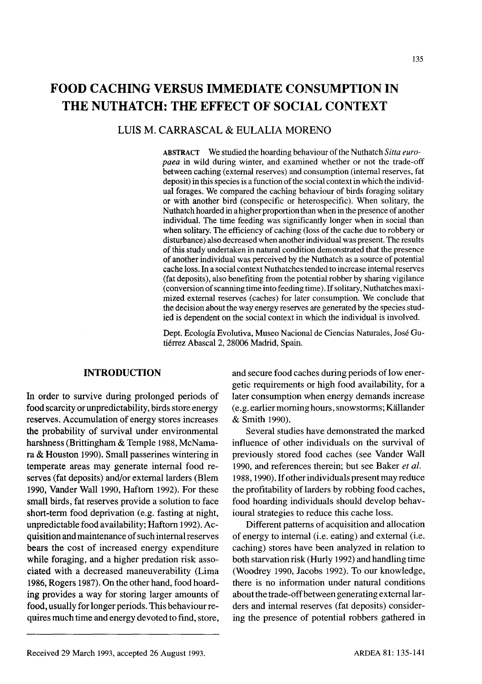# **FOOD CACHING VERSUS IMMEDIATE CONSUMPTION IN THE NUTHATCH: THE EFFECT OF SOCIAL CONTEXT**

## LUIS M. CARRASCAL & EULALIA MORENO

ABSTRACT We studied the hoarding behaviour of the Nuthatch *Sitta europaea* in wild during winter, and examined whether or not the trade-off between caching (external reserves) and consumption (internal reserves, fat deposit) in this species is a function of the social context in which the individual forages. We compared the caching behaviour of birds foraging solitary or with another bird (conspecific or heterospecific). When solitary, the Nuthatch hoarded in a higher proportionthan when in the presence of another individual. The time feeding was significantly longer when in social than when solitary. The efficiency of caching (loss of the cache due to robbery or disturbance) also decreased when anotherindividual was present. The results of this study undertaken in natural condition demonstrated that the presence of another individual was perceived by the Nuthatch as a source of potential cache loss. In a social context Nuthatches tended to increase internal reserves (fat deposits), also benefiting from the potential robber by sharing vigilance (conversion of scanning time into feeding time). If solitary, Nuthatches maximized external reserves (caches) for later consumption. We conclude that the decision about the way energy reserves are generated by the species studied is dependent on the social context in which the individual is involved.

Dept. Ecologia Evolutiva, Museo Nacional de Ciencias Naturales, Jose Gutiérrez Abascal 2, 28006 Madrid, Spain.

## **INTRODUCTION**

In order to survive during prolonged periods of food scarcity or unpredictability, birds store energy reserves. Accumulation of energy stores increases the probability of survival under environmental harshness (Brittingham & Temple 1988, McNamara & Houston 1990). Small passerines wintering in temperate areas may generate internal food reserves (fat deposits) and/or external larders (Blem 1990, Vander Wall 1990, Haftorn 1992). For these small birds, fat reserves provide a solution to face short-term food deprivation (e.g. fasting at night, unpredictable food availability; Haftorn 1992). Acquisition and maintenance of such internal reserves bears the cost of increased energy expenditure while foraging, and a higher predation risk associated with a decreased maneuverability (Lima 1986, Rogers 1987). On the other hand, food hoarding provides a way for storing larger amounts of food, usually for longer periods. This behaviour requires much time and energy devoted to find, store, and secure food caches during periods of low energetic requirements or high food availability, for a later consumption when energy demands increase (e.g. earliermorninghours,snowstorms; Kallander & Smith 1990).

Several studies have demonstrated the marked influence of other individuals on the survival of previously stored food caches (see Vander Wall 1990, and references therein; but see Baker *et ai.* 1988, 1990). If other individuals present may reduce the profitability of larders by robbing food caches, food hoarding individuals should develop behavioural strategies to reduce this cache loss.

Different patterns of acquisition and allocation of energy to internal (i.e. eating) and external (i.e. caching) stores have been analyzed in relation to both starvation risk (Hurly 1992) and handling time (Woodrey 1990, Jacobs 1992). To our knowledge, there is no information under natural conditions about the trade-off between generating external larders and internal reserves (fat deposits) considering the presence of potential robbers gathered in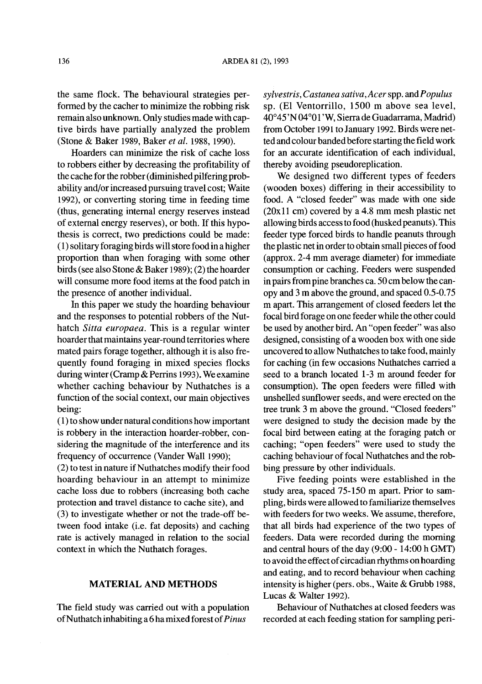the same flock. The behavioural strategies performed by the cacher to minimize the robbing risk remain also unknown. Only studies made with captive birds have partially analyzed the problem (Stone & Baker 1989, Baker *et ai.* 1988, 1990).

Hoarders can minimize the risk of cache loss to robbers either by decreasing the profitability of the cache for the robber (diminished pilfering probability and/or increased pursuing travel cost; Waite 1992), or converting storing time in feeding time (thus, generating internal energy reserves instead of external energy reserves), or both. If this hypothesis is correct, two predictions could be made: (1) solitary foraging birds willstore food in a higher proportion than when foraging with some other birds (see also Stone & Baker 1989); (2) the hoarder will consume more food items at the food patch in the presence of another individual.

**In** this paper we study the hoarding behaviour and the responses to potential robbers of the Nuthatch *Sitta europaea.* This is a regular winter hoarder that maintains year-round territories where mated pairs forage together, although it is also frequently found foraging in mixed species flocks during winter (Cramp & Perrins 1993). We examine whether caching behaviour by Nuthatches is a function of the social context, our main objectives being:

(1) to show under natural conditions how important is robbery in the interaction hoarder-robber, considering the magnitude of the interference and its frequency of occurrence (Vander Wall 1990);

 $(2)$  to test in nature if Nuthatches modify their food hoarding behaviour in an attempt to minimize cache loss due to robbers (increasing both cache protection and travel distance to cache site), and (3) to investigate whether or not the trade-off between food intake (i.e. fat deposits) and caching rate is actively managed in relation to the social context in which the Nuthatch forages.

## **MATERIAL AND METHODS**

The field study was carried out with a population ofNuthatch inhabiting a 6 hamixed forest of*Pinus*

*syivestris, Castanea sativa, Acer*spp. *andPopuius* sp. (El Ventorrillo, 1500 m above sea level, *40°45* 'N04*°01* 'W, Sierrade Guadarrama, Madrid) from October 1991 to January 1992. Birds were netted and colour banded before starting the field work for an accurate identification of each individual, thereby avoiding pseudoreplication.

We designed two different types of feeders (wooden boxes) differing in their accessibility to food. A "closed feeder" was made with one side (20xll cm) covered by a 4.8 mm mesh plastic net allowing birds access to food (husked peanuts). This feeder type forced birds to handle peanuts through the plastic net in order to obtain small pieces of food (approx. 2-4 mm average diameter) for immediate consumption or caching. Feeders were suspended in pairs from pine branches ca.  $50 \text{ cm}$  below the canopy and 3 m above the ground, and spaced 0.5-0.75 m apart. This arrangement of closed feeders let the focal bird forage on one feeder while the other could be used by another bird. An "open feeder" was also designed, consisting of a wooden box with one side uncovered to allow Nuthatches to take food, mainly for caching (in few occasions Nuthatches carried a seed to a branch located 1-3 m around feeder for consumption). The open feeders were filled with unshelled sunflower seeds, and were erected on the tree trunk 3 m above the ground. "Closed feeders" were designed to study the decision made by the focal bird between eating at the foraging patch or caching; "open feeders" were used to study the caching behaviour of focal Nuthatches and the robbing pressure by other individuals.

Five feeding points were established in the study area, spaced 75-150 m apart. Prior to sampling, birds were allowed to familiarize themselves with feeders for two weeks. We assume, therefore, that all birds had experience of the two types of feeders. Data were recorded during the morning and central hours of the day  $(9:00 - 14:00 \text{ h GMT})$ to avoid the effect of circadian rhythms on hoarding and eating, and to record behaviour when caching intensity is higher (pers. obs., Waite & Grubb 1988, Lucas & Walter 1992).

Behaviour of Nuthatches at closed feeders was recorded at each feeding station for sampling peri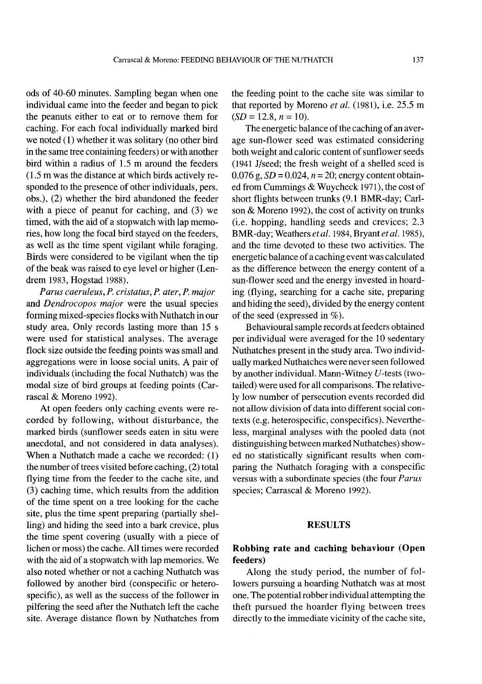ods of 40-60 minutes. Sampling began when one individual came into the feeder and began to pick the peanuts either to eat or to remove them for caching. For each focal individually marked bird we noted (1) whether it was solitary (no other bird in the same tree containing feeders) or with another bird within a radius of 1.5 m around the feeders (1.5 m was the distance at which birds actively responded to the presence of other individuals, pers. obs.), (2) whether the bird abandoned the feeder with a piece of peanut for caching, and (3) we timed, with the aid of a stopwatch with lap memories, how long the focal bird stayed on the feeders, as well as the time spent vigilant while foraging. Birds were considered to be vigilant when the tip of the beak was raised to eye level or higher (Lendrem 1983, Hogstad 1988).

*Parus caeruleus,* P. *cristatus,* P. *ater, P. major* and *Dendrocopos major* were the usual species forming mixed-species flocks with Nuthatch in our study area. Only records lasting more than 15 s were used for statistical analyses. The average flock size outside the feeding points was small and aggregations were in loose social units. A pair of individuals (including the focal Nuthatch) was the modal size of bird groups at feeding points (Carrascal & Moreno 1992).

At open feeders only caching events were recorded by following, without disturbance, the marked birds (sunflower seeds eaten in situ were anecdotal, and not considered in data analyses). When a Nuthatch made a cache we recorded: (1) the number of trees visited before caching,  $(2)$  total flying time from the feeder to the cache site, and (3) caching time, which results from the addition of the time spent on a tree looking for the cache site, plus the time spent preparing (partially shelling) and hiding the seed into a bark crevice, plus the time spent covering (usually with a piece of lichen or moss) the cache. All times were recorded with the aid of a stopwatch with lap memories. We also noted whether or not a caching Nuthatch was followed by another bird (conspecific or heterospecific), as well as the success of the follower in pilfering the seed after the Nuthatch left the cache site. Average distance flown by Nuthatches from the feeding point to the cache site was similar to that reported by Moreno *et al.* (1981), i.e. 25.5 m  $(SD = 12.8, n = 10).$ 

The energetic balance of the caching of an average sun-flower seed was estimated considering both weight and caloric content of sunflower seeds (1941 J/seed; the fresh weight of a shelled seed is 0.076 g,  $SD = 0.024$ ,  $n = 20$ ; energy content obtained from Cummings & Wuycheck 1971), the cost of short flights between trunks (9.1 BMR-day; Carlson & Moreno 1992), the cost of activity on trunks (i.e. hopping, handling seeds and crevices; 2.3 BMR-day; Weathers *etal.* 1984, *Bryantetal.* 1985), and the time devoted to these two activities. The energetic balance of a caching event was calculated as the difference between the energy content of a sun-flower seed and the energy invested in hoarding (flying, searching for a cache site, preparing and hiding the seed), divided by the energy content of the seed (expressed in %).

Behavioural sample records at feeders obtained per individual were averaged for the 10 sedentary Nuthatches present in the study area. Two individuallymarked Nuthatches were neverseen followed by another individual. Mann-Witney *V-tests* (twotailed) were used for all comparisons. The relatively low number of persecution events recorded did not allow division of data into different social contexts (e.g. heterospecific, conspecifics). Nevertheless, marginal analyses with the pooled data (not distinguishing between marked Nuthatches) showed no statistically significant results when comparing the Nuthatch foraging with a conspecific versus with a subordinate species (the four *Parus* species; Carrascal & Moreno 1992).

## **RESULTS**

## **Robbing rate and caching behaviour (Open feeders)**

Along the study period, the number of followers pursuing a hoarding Nuthatch was at most one. The potential robber individual attempting the theft pursued the hoarder flying between trees directly to the immediate vicinity of the cache site,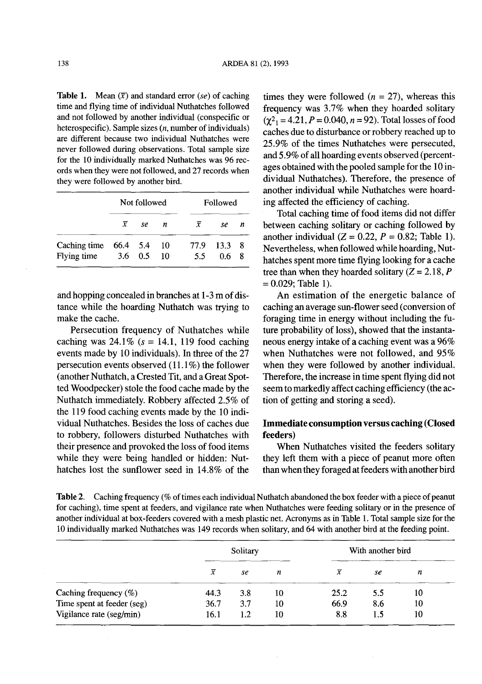**Table 1.** Mean  $(\bar{x})$  and standard error *(se)* of caching time and flying time of individual Nuthatches followed and not followed by another individual (conspecific or heterospecific). Sample sizes  $(n,$  number of individuals) are different because two individual Nuthatches were never followed during observations. Total sample size for the 10 individually marked Nuthatches was 96 records when they were not followed, and 27 records when they were followed by another bird.

|                         |                 | Not followed<br>Followed |    |           |             |   |
|-------------------------|-----------------|--------------------------|----|-----------|-------------|---|
|                         | x               | se                       | n  | $\bar{x}$ | se          | n |
| Caching time $66.4$ 5.4 |                 |                          | 10 |           | 77.9 13.3 8 |   |
| Flying time             | $3.6 \quad 0.5$ |                          | 10 | 5.5       | 0.6         | 8 |

and hopping concealed in branches at  $1-3$  m of distance while the hoarding Nuthatch was trying to make the cache.

Persecution frequency of Nuthatches while caching was  $24.1\%$  (s = 14.1, 119 food caching events made by 10 individuals). In three of the 27 persecution events observed  $(11.1\%)$  the follower (another Nuthatch, a Crested Tit, and a Great Spotted Woodpecker) stole the food cache made by the Nuthatch immediately. Robbery affected 2.5% of the 119 food caching events made by the 10 individual Nuthatches. Besides the loss of caches due to robbery, followers disturbed Nuthatches with their presence and provoked the loss of food items while they were being handled or hidden: Nuthatches lost the sunflower seed in 14.8% of the

times they were followed  $(n = 27)$ , whereas this frequency was 3.7% when they hoarded solitary  $(\gamma^2) = 4.21$ ,  $P = 0.040$ ,  $n = 92$ ). Total losses of food caches due to disturbance or robbery reached up to 25.9% of the times Nuthatches were persecuted, and 5.9% of all hoarding events observed (percentages obtained with the pooled sample for the 10 individual Nuthatches). Therefore, the presence of another individual while Nuthatches were hoarding affected the efficiency of caching.

Total caching time of food items did not differ between caching solitary or caching followed by another individual  $(Z = 0.22, P = 0.82;$  Table 1). Nevertheless, when followed while hoarding, Nuthatches spent more time flying looking for a cache tree than when they hoarded solitary  $(Z = 2.18, P)$  $= 0.029$ ; Table 1).

An estimation of the energetic balance of caching an average sun-flower seed (conversion of foraging time in energy without including the future probability of loss), showed that the instantaneous energy intake of a caching event was a 96% when Nuthatches were not followed, and 95% when they were followed by another individual. Therefore, the increase in time spent flying did not seem to markedly affect caching efficiency (the action of getting and storing a seed).

# Immediate consumption versus caching (Closed feeders)

When Nuthatches visited the feeders solitary they left them with a piece of peanut more often than when they foraged at feeders with another bird

Table 2. Caching frequency (% of times each individual Nuthatch abandoned the box feeder with a piece of peanut for caching), time spent at feeders, and vigilance rate when Nuthatches were feeding solitary or in the presence of another individual at box-feeders covered with a mesh plastic net. Acronyms as in Table 1. Total sample size for the 10 individually marked Nuthatches was 149 records when solitary, and 64 with another bird at the feeding point.

|                            | Solitary       |     |    | With another bird |     |    |
|----------------------------|----------------|-----|----|-------------------|-----|----|
|                            | $\overline{x}$ | se  | n  | x                 | se  | n  |
| Caching frequency $(\%)$   | 44.3           | 3.8 | 10 | 25.2              | 5.5 | 10 |
| Time spent at feeder (seg) | 36.7           | 3.7 | 10 | 66.9              | 8.6 | 10 |
| Vigilance rate (seg/min)   | 16.1           | 1.2 | 10 | 8.8               | 1.5 | 10 |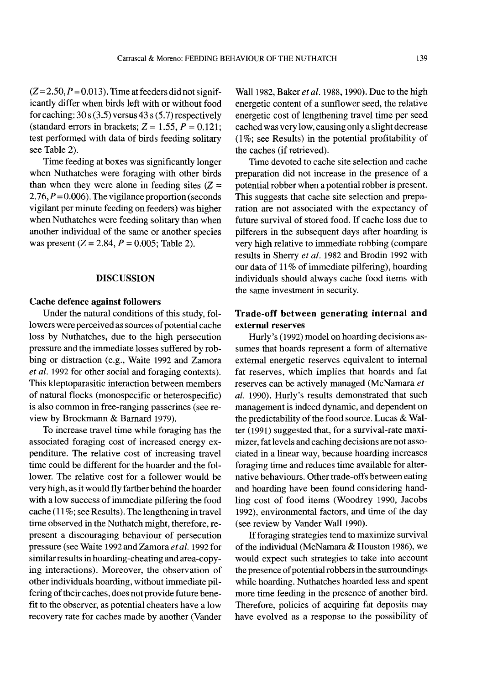$(Z= 2.50, P=0.013)$ . Time at feeders did not significantly differ when birds left with or without food for caching:  $30 s(3.5)$  versus  $43 s(5.7)$  respectively (standard errors in brackets;  $Z = 1.55$ ,  $P = 0.121$ ; test performed with data of birds feeding solitary see Table 2).

Time feeding at boxes was significantly longer when Nuthatches were foraging with other birds than when they were alone in feeding sites  $(Z =$ 2.76,  $P = 0.006$ ). The vigilance proportion (seconds vigilant per minute feeding on feeders) was higher when Nuthatches were feeding solitary than when another individual of the same or another species was present ( $Z = 2.84$ ,  $P = 0.005$ ; Table 2).

#### DISCUSSION

### Cache defence against followers

Under the natural conditions of this study, followers were perceived as sources of potential cache loss by Nuthatches, due to the high persecution pressure and the immediate losses suffered by robbing or distraction (e.g., Waite 1992 and Zamora *et al.* 1992 for other social and foraging contexts). This kleptoparasitic interaction between members of natural flocks (monospecific or heterospecific) is also common in free-ranging passerines (see review by Brockmann & Barnard 1979).

To increase travel time while foraging has the associated foraging cost of increased energy expenditure. The relative cost of increasing travel time could be different for the hoarder and the follower. The relative cost for a follower would be very high, asit would fly farther behind the hoarder with a low success of immediate pilfering the food cache (11%; see Results). The lengthening in travel time observed in the Nuthatch might, therefore, represent a discouraging behaviour of persecution pressure (see Waite 1992 and Zamora *etal.* 1992 for similar results in hoarding-cheating and area-copying interactions). Moreover, the observation of other individuals hoarding, without immediate pilfering of their caches, does not provide future benefit to the observer, as potential cheaters have a low recovery rate for caches made by another (Vander

Wa111982, Baker *et al.* 1988, 1990). Due to the high energetic content of a sunflower seed, the relative energetic cost of lengthening travel time per seed cached was very low, causing only a slight decrease (l%; see Results) in the potential profitability of the caches (if retrieved).

Time devoted to cache site selection and cache preparation did not increase in the presence of a potential robber when a potential robber is present. This suggests that cache site selection and preparation are not associated with the expectancy of future survival of stored food. If cache loss due to pilferers in the subsequent days after hoarding is very high relative to immediate robbing (compare results in Sherry *et at.* 1982 and Brodin 1992 with our data of 11% of immediate pilfering), hoarding individuals should always cache food items with the same investment in security.

## Trade-off between generating internal and external reserves

Hurly's (1992) model on hoarding decisions assumes that hoards represent a form of alternative external energetic reserves equivalent to internal fat reserves, which implies that hoards and fat reserves can be actively managed (McNamara *et al.* 1990). Hurly's results demonstrated that such management is indeed dynamic, and dependent on the predictability of the food source. Lucas  $&$  Walter (1991) suggested that, for a survival-rate maximizer, fat levels and caching decisions are not associated in a linear way, because hoarding increases foraging time and reduces time available for alternative behaviours. Other trade-offs between eating and hoarding have been found considering handling cost of food items (Woodrey 1990, Jacobs 1992), environmental factors, and time of the day (see review by Vander Wall 1990).

Ifforaging strategies tend to maximize survival of the individual (McNamara  $&$  Houston 1986), we would expect such strategies to take into account the presence of potential robbers in the surroundings while hoarding. Nuthatches hoarded less and spent more time feeding in the presence of another bird. Therefore, policies of acquiring fat deposits may have evolved as a response to the possibility of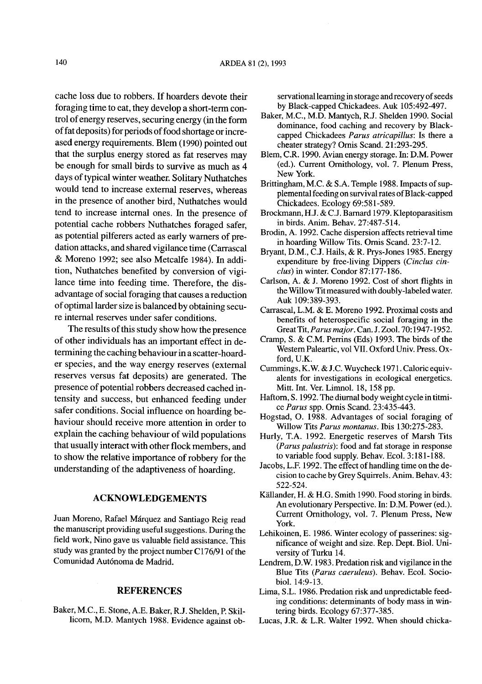cache loss due to robbers. If hoarders devote their foraging time to eat, they develop a short-term control ofenergy reserves, securing energy (in the form of fat deposits) for periods of food shortage or increased energy requirements. Blem (1990) pointed out that the surplus energy stored as fat reserves may be enough for small birds to survive as much as 4 days of typical winter weather. Solitary Nuthatches would tend to increase external reserves, whereas in the presence of another bird, Nuthatches would tend to increase internal ones. In the presence of potential cache robbers Nuthatches foraged safer, as potential pilferers acted as early warners of predation attacks, and shared vigilance time (Carrascal & Moreno 1992; see also Metcalfe 1984). In addition, Nuthatches benefited by conversion of vigilance time into feeding time. Therefore, the disadvantage of social foraging that causes a reduction of optimal larder size is balanced by obtaining secure internal reserves under safer conditions.

The results of this study show how the presence of other individuals has an important effect in determining the caching behaviour in a scatter-hoarder species, and the way energy reserves (external reserves versus fat deposits) are generated. The presence of potential robbers decreased cached intensity and success, but enhanced feeding under safer conditions. Social influence on hoarding behaviour should receive more attention in order to explain the caching behaviour of wild populations that usually interact with other flock members, and to show the relative importance of robbery for the understanding of the adaptiveness of hoarding.

#### ACKNOWLEDGEMENTS

Juan Moreno, Rafael Marquez and Santiago Reig read the manuscript providing useful suggestions. During the field work, Nino gave us valuable field assistance. This study was granted by the project number C176/91 of the Comunidad Aut6noma de Madrid.

#### **REFERENCES**

Baker, M.C., E. Stone, A.E. Baker, R.J. Shelden, P. Skillicorn, M.D. Mantych 1988. Evidence against observational learning in storage and recovery of seeds by Black-capped Chickadees. Auk 105:492-497.

- Baker, M.C., M.D. Mantych, R.J. Shelden 1990. Social dominance, food caching and recovery by Blackcapped Chickadees *Parus atricapillus:* Is there a cheater strategy? Ornis Scand. 21:293-295.
- Blem, C.R. 1990. Avian energy storage. In: D.M. Power (ed.). Current Ornithology, vol. 7. Plenum Press, New York.
- Brittingham, M.C. & S.A. Temple 1988. Impacts of supplemental feeding on survival rates of Black-capped Chickadees. Ecology 69:581-589.
- Brockmann, H.J. & C.J. Barnard 1979. Kleptoparasitism in birds. Anim. Behav. 27:487-514.
- Brodin, A. 1992. Cache dispersion affects retrieval time in hoarding Willow Tits. Ornis Scand. 23:7-12.
- Bryant, D.M., C.J. Hails, & R. Prys-Jones 1985. Energy expenditure by free-living Dippers *(Cinclus cinclus)* in winter. Condor 87:177-186.
- Carlson, A. & J. Moreno 1992. Cost of short flights in the Willow Tit measured with doubly-labeled water. Auk 109:389-393.
- Carrascal, L.M. & E. Moreno 1992. Proximal costs and benefits of heterospecific social foraging in the GreatTit,Parus *major.* Can. J. Zool. 70:1947-1952.
- Cramp, S. & C.M. Perrins (Eds) 1993. The birds of the Western Paleartic, vol VII. Oxford Univ. Press. Oxford, U.K.
- Cummings, K.W. & J.C. Wuycheck 1971. Caloric equivalents for investigations in ecological energetics. Mitt. Int. Ver. Limnol. 18, 158 pp.
- Haftorn, S. 1992. The diurnal body weight cycle in titmice *Parus* spp. Ornis Scand. 23:435-443.
- Hogstad, O. 1988. Advantages of social foraging of Willow Tits *Parus montanus.* Ibis 130:275-283.
- Hurly, T.A. 1992. Energetic reserves of Marsh Tits *(Parus palustris):* food and fat storage in response to variable food supply. Behav. Ecol. 3:181-188.
- Jacobs, L.F. 1992. The effect of handling time on the decision to cache by Grey Squirrels. Anim. Behav. 43: 522-524.
- Källander, H. & H.G. Smith 1990. Food storing in birds. An evolutionary Perspective. In: D.M. Power (ed.). Current Ornithology, vol. 7. Plenum Press, New York.
- Lehikoinen, E. 1986. Winter ecology of passerines: significance of weight and size. Rep. Dept. BioI. University of Turku 14.
- Lendrem, D.W. 1983. Predation risk and vigilance in the Blue Tits *(Parus caeruleus).* Behav. Ecol. SociobioI. 14:9-13.
- Lima, S.L. 1986. Predation risk and unpredictable feeding conditions: determinants of body mass in wintering birds. Ecology 67:377-385.
- Lucas, J.R. & L.R. Walter 1992. When should chicka-